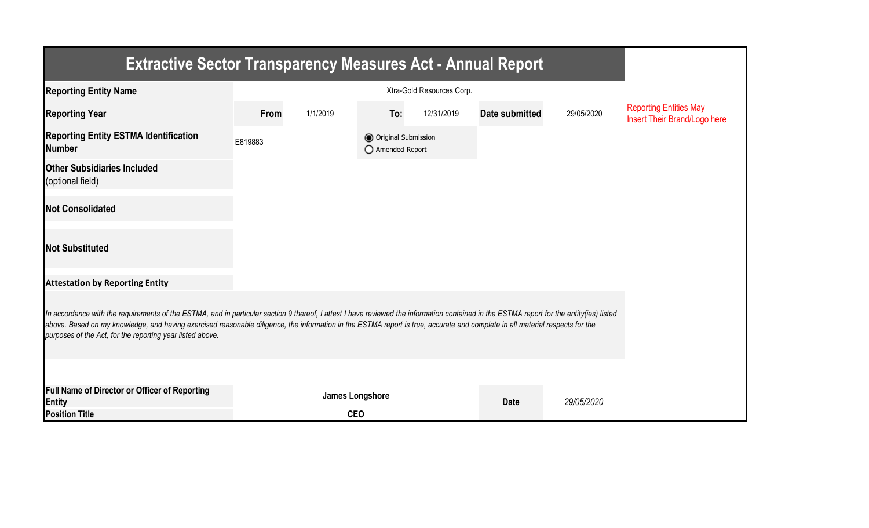| <b>Extractive Sector Transparency Measures Act - Annual Report</b>                                                                                                                                                                                                                                                                                                                                                                    |         |                        |                                         |            |                       |            |                                                               |  |  |  |
|---------------------------------------------------------------------------------------------------------------------------------------------------------------------------------------------------------------------------------------------------------------------------------------------------------------------------------------------------------------------------------------------------------------------------------------|---------|------------------------|-----------------------------------------|------------|-----------------------|------------|---------------------------------------------------------------|--|--|--|
| <b>Reporting Entity Name</b>                                                                                                                                                                                                                                                                                                                                                                                                          |         |                        |                                         |            |                       |            |                                                               |  |  |  |
| <b>Reporting Year</b>                                                                                                                                                                                                                                                                                                                                                                                                                 | From    | 1/1/2019               | To:                                     | 12/31/2019 | <b>Date submitted</b> | 29/05/2020 | <b>Reporting Entities May</b><br>Insert Their Brand/Logo here |  |  |  |
| <b>Reporting Entity ESTMA Identification</b><br><b>Number</b>                                                                                                                                                                                                                                                                                                                                                                         | E819883 |                        | O Original Submission<br>Amended Report |            |                       |            |                                                               |  |  |  |
| <b>Other Subsidiaries Included</b><br>(optional field)                                                                                                                                                                                                                                                                                                                                                                                |         |                        |                                         |            |                       |            |                                                               |  |  |  |
| <b>Not Consolidated</b>                                                                                                                                                                                                                                                                                                                                                                                                               |         |                        |                                         |            |                       |            |                                                               |  |  |  |
| <b>Not Substituted</b>                                                                                                                                                                                                                                                                                                                                                                                                                |         |                        |                                         |            |                       |            |                                                               |  |  |  |
| <b>Attestation by Reporting Entity</b>                                                                                                                                                                                                                                                                                                                                                                                                |         |                        |                                         |            |                       |            |                                                               |  |  |  |
| In accordance with the requirements of the ESTMA, and in particular section 9 thereof, I attest I have reviewed the information contained in the ESTMA report for the entity(ies) listed<br>above. Based on my knowledge, and having exercised reasonable diligence, the information in the ESTMA report is true, accurate and complete in all material respects for the<br>purposes of the Act, for the reporting year listed above. |         |                        |                                         |            |                       |            |                                                               |  |  |  |
|                                                                                                                                                                                                                                                                                                                                                                                                                                       |         |                        |                                         |            |                       |            |                                                               |  |  |  |
| Full Name of Director or Officer of Reporting<br>Entity                                                                                                                                                                                                                                                                                                                                                                               |         | <b>James Longshore</b> |                                         |            | <b>Date</b>           | 29/05/2020 |                                                               |  |  |  |
| <b>Position Title</b>                                                                                                                                                                                                                                                                                                                                                                                                                 |         | <b>CEO</b>             |                                         |            |                       |            |                                                               |  |  |  |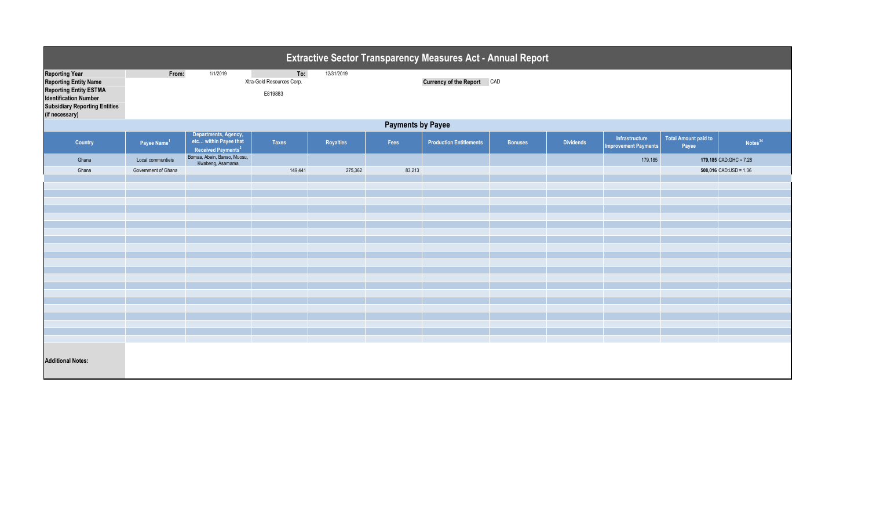| <b>Extractive Sector Transparency Measures Act - Annual Report</b>                                                                                                 |                         |                                                                                 |                                             |            |        |                                   |                |                  |                                               |                                      |                          |  |
|--------------------------------------------------------------------------------------------------------------------------------------------------------------------|-------------------------|---------------------------------------------------------------------------------|---------------------------------------------|------------|--------|-----------------------------------|----------------|------------------|-----------------------------------------------|--------------------------------------|--------------------------|--|
| <b>Reporting Year</b><br><b>Reporting Entity Name</b><br>Reporting Entity ESTMA<br>Identification Number<br><b>Subsidiary Reporting Entities</b><br>(if necessary) | From:                   | 1/1/2019                                                                        | To:<br>Xtra-Gold Resources Corp.<br>E819883 | 12/31/2019 |        | <b>Currency of the Report CAD</b> |                |                  |                                               |                                      |                          |  |
| <b>Payments by Payee</b>                                                                                                                                           |                         |                                                                                 |                                             |            |        |                                   |                |                  |                                               |                                      |                          |  |
| <b>Country</b>                                                                                                                                                     | Payee Name <sup>1</sup> | Departments, Agency,<br>etc within Payee that<br>Received Payments <sup>2</sup> | <b>Taxes</b>                                | Royalties  | Fees   | <b>Production Entitlements</b>    | <b>Bonuses</b> | <b>Dividends</b> | Infrastructure<br><b>Improvement Payments</b> | <b>Total Amount paid to</b><br>Payee | Notes <sup>34</sup>      |  |
| Ghana                                                                                                                                                              | Local communtieis       | Bomaa, Abein, Banso, Muosu,<br>Kwabeng, Asamama                                 |                                             |            |        |                                   |                |                  | 179,185                                       |                                      | 179,185 $CAD:GHC = 7.28$ |  |
| Ghana                                                                                                                                                              | Government of Ghana     |                                                                                 | 149,441                                     | 275,362    | 83,213 |                                   |                |                  |                                               |                                      | $508,016$ CAD:USD = 1.36 |  |
|                                                                                                                                                                    |                         |                                                                                 |                                             |            |        |                                   |                |                  |                                               |                                      |                          |  |
|                                                                                                                                                                    |                         |                                                                                 |                                             |            |        |                                   |                |                  |                                               |                                      |                          |  |
|                                                                                                                                                                    |                         |                                                                                 |                                             |            |        |                                   |                |                  |                                               |                                      |                          |  |
|                                                                                                                                                                    |                         |                                                                                 |                                             |            |        |                                   |                |                  |                                               |                                      |                          |  |
|                                                                                                                                                                    |                         |                                                                                 |                                             |            |        |                                   |                |                  |                                               |                                      |                          |  |
|                                                                                                                                                                    |                         |                                                                                 |                                             |            |        |                                   |                |                  |                                               |                                      |                          |  |
|                                                                                                                                                                    |                         |                                                                                 |                                             |            |        |                                   |                |                  |                                               |                                      |                          |  |
|                                                                                                                                                                    |                         |                                                                                 |                                             |            |        |                                   |                |                  |                                               |                                      |                          |  |
|                                                                                                                                                                    |                         |                                                                                 |                                             |            |        |                                   |                |                  |                                               |                                      |                          |  |
|                                                                                                                                                                    |                         |                                                                                 |                                             |            |        |                                   |                |                  |                                               |                                      |                          |  |
|                                                                                                                                                                    |                         |                                                                                 |                                             |            |        |                                   |                |                  |                                               |                                      |                          |  |
|                                                                                                                                                                    |                         |                                                                                 |                                             |            |        |                                   |                |                  |                                               |                                      |                          |  |
|                                                                                                                                                                    |                         |                                                                                 |                                             |            |        |                                   |                |                  |                                               |                                      |                          |  |
|                                                                                                                                                                    |                         |                                                                                 |                                             |            |        |                                   |                |                  |                                               |                                      |                          |  |
|                                                                                                                                                                    |                         |                                                                                 |                                             |            |        |                                   |                |                  |                                               |                                      |                          |  |
|                                                                                                                                                                    |                         |                                                                                 |                                             |            |        |                                   |                |                  |                                               |                                      |                          |  |
|                                                                                                                                                                    |                         |                                                                                 |                                             |            |        |                                   |                |                  |                                               |                                      |                          |  |
|                                                                                                                                                                    |                         |                                                                                 |                                             |            |        |                                   |                |                  |                                               |                                      |                          |  |
| <b>Additional Notes:</b>                                                                                                                                           |                         |                                                                                 |                                             |            |        |                                   |                |                  |                                               |                                      |                          |  |